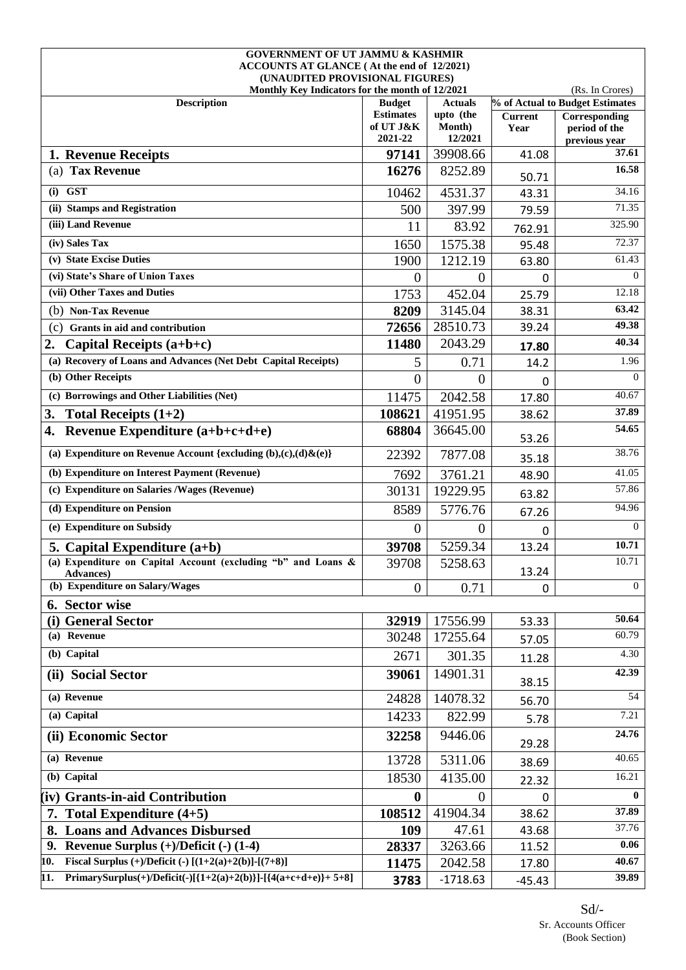| <b>GOVERNMENT OF UT JAMMU &amp; KASHMIR</b>                                   |                               |                             |                        |                                 |
|-------------------------------------------------------------------------------|-------------------------------|-----------------------------|------------------------|---------------------------------|
| ACCOUNTS AT GLANCE (At the end of 12/2021)<br>(UNAUDITED PROVISIONAL FIGURES) |                               |                             |                        |                                 |
| Monthly Key Indicators for the month of 12/2021                               |                               |                             |                        | (Rs. In Crores)                 |
| <b>Description</b>                                                            | <b>Budget</b>                 | <b>Actuals</b>              |                        | % of Actual to Budget Estimates |
|                                                                               | <b>Estimates</b><br>of UT J&K | upto (the<br><b>Month</b> ) | <b>Current</b><br>Year | Corresponding<br>period of the  |
|                                                                               | 2021-22                       | 12/2021                     |                        | previous year                   |
| 1. Revenue Receipts                                                           | 97141                         | 39908.66                    | 41.08                  | 37.61                           |
| (a) Tax Revenue                                                               | 16276                         | 8252.89                     | 50.71                  | 16.58                           |
| $(i)$ GST                                                                     | 10462                         | 4531.37                     | 43.31                  | 34.16                           |
| (ii) Stamps and Registration                                                  | 500                           | 397.99                      | 79.59                  | 71.35                           |
| (iii) Land Revenue                                                            | 11                            | 83.92                       | 762.91                 | 325.90                          |
| (iv) Sales Tax                                                                | 1650                          | 1575.38                     | 95.48                  | 72.37                           |
| (v) State Excise Duties                                                       | 1900                          | 1212.19                     | 63.80                  | 61.43                           |
| (vi) State's Share of Union Taxes                                             | $\Omega$                      | $\Omega$                    | 0                      | $\Omega$                        |
| (vii) Other Taxes and Duties                                                  | 1753                          | 452.04                      | 25.79                  | 12.18                           |
| (b) Non-Tax Revenue                                                           | 8209                          | 3145.04                     | 38.31                  | 63.42                           |
| (c)<br>Grants in aid and contribution                                         | 72656                         | 28510.73                    | 39.24                  | 49.38                           |
| 2.<br>Capital Receipts $(a+b+c)$                                              | 11480                         | 2043.29                     | 17.80                  | 40.34                           |
| (a) Recovery of Loans and Advances (Net Debt Capital Receipts)                | 5                             | 0.71                        | 14.2                   | 1.96                            |
| (b) Other Receipts                                                            | $\overline{0}$                | $\overline{0}$              | 0                      | $\Omega$                        |
| (c) Borrowings and Other Liabilities (Net)                                    | 11475                         | 2042.58                     | 17.80                  | 40.67                           |
| 3.<br>Total Receipts $(1+2)$                                                  | 108621                        | 41951.95                    | 38.62                  | 37.89                           |
| Revenue Expenditure $(a+b+c+d+e)$<br>4.                                       | 68804                         | 36645.00                    | 53.26                  | 54.65                           |
| (a) Expenditure on Revenue Account {excluding $(b),(c),(d)\& (e)\}$           | 22392                         | 7877.08                     | 35.18                  | 38.76                           |
| (b) Expenditure on Interest Payment (Revenue)                                 | 7692                          | 3761.21                     | 48.90                  | 41.05                           |
| (c) Expenditure on Salaries / Wages (Revenue)                                 | 30131                         | 19229.95                    | 63.82                  | 57.86                           |
| (d) Expenditure on Pension                                                    | 8589                          | 5776.76                     | 67.26                  | 94.96                           |
| (e) Expenditure on Subsidy                                                    | $\overline{0}$                | $\overline{0}$              | 0                      | $\Omega$                        |
| 5. Capital Expenditure $(a+b)$                                                | 39708                         | 5259.34                     | 13.24                  | 10.71                           |
| (a) Expenditure on Capital Account (excluding "b" and Loans &<br>Advances)    | 39708                         | 5258.63                     | 13.24                  | 10.71                           |
| (b) Expenditure on Salary/Wages                                               | $\overline{0}$                | 0.71                        | 0                      | $\Omega$                        |
| 6. Sector wise                                                                |                               |                             |                        |                                 |
| (i) General Sector                                                            | 32919                         | 17556.99                    | 53.33                  | 50.64                           |
| (a) Revenue                                                                   | 30248                         | 17255.64                    | 57.05                  | 60.79                           |
| (b) Capital                                                                   | 2671                          | 301.35                      | 11.28                  | 4.30                            |
| (ii) Social Sector                                                            | 39061                         | 14901.31                    | 38.15                  | 42.39                           |
| (a) Revenue                                                                   | 24828                         | 14078.32                    | 56.70                  | 54                              |
| (a) Capital                                                                   | 14233                         | 822.99                      | 5.78                   | 7.21                            |
| (ii) Economic Sector                                                          | 32258                         | 9446.06                     | 29.28                  | 24.76                           |
| (a) Revenue                                                                   | 13728                         | 5311.06                     | 38.69                  | 40.65                           |
| (b) Capital                                                                   | 18530                         | 4135.00                     | 22.32                  | 16.21                           |
| (iv) Grants-in-aid Contribution                                               | 0                             | $\theta$                    | 0                      | $\mathbf{0}$                    |
| 7. Total Expenditure $(4+5)$                                                  | 108512                        | 41904.34                    | 38.62                  | 37.89                           |
| <b>Loans and Advances Disbursed</b>                                           | 109                           | 47.61                       | 43.68                  | 37.76                           |
| Revenue Surplus $(+)/$ Deficit $(-)$ (1-4)<br>9.                              | 28337                         | 3263.66                     | 11.52                  | 0.06                            |
| Fiscal Surplus (+)/Deficit (-) $[(1+2(a)+2(b)]-(7+8)]$<br>10.                 | 11475                         | 2042.58                     | 17.80                  | 40.67                           |
| PrimarySurplus(+)/Deficit(-)[{1+2(a)+2(b)}]-[{4(a+c+d+e)}+ 5+8]<br>11.        | 3783                          | $-1718.63$                  | $-45.43$               | 39.89                           |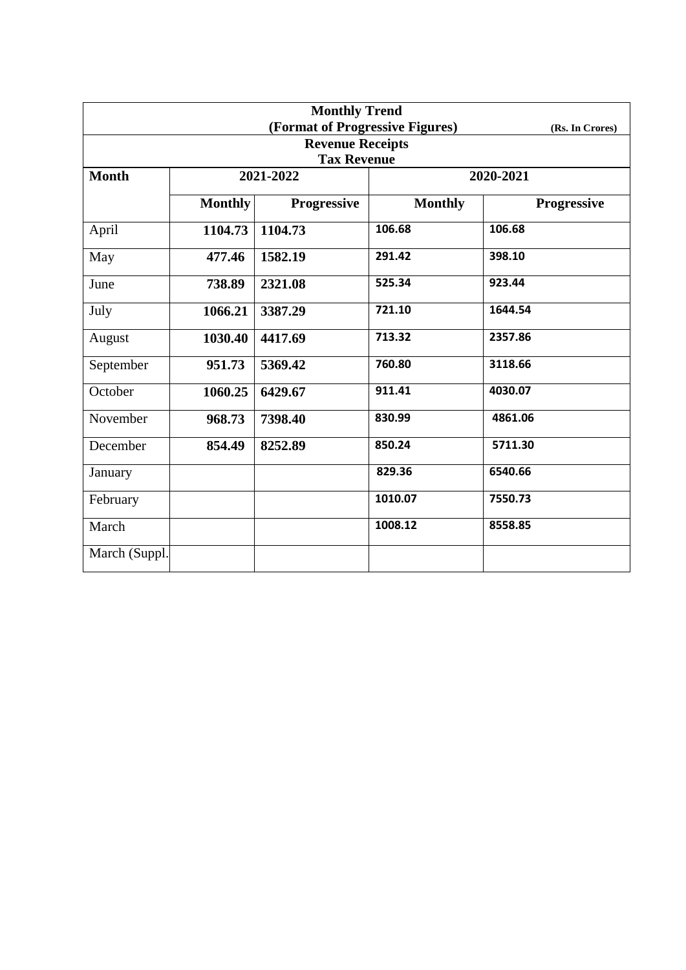| <b>Monthly Trend</b>    |                |                                 |                |                    |  |  |  |  |
|-------------------------|----------------|---------------------------------|----------------|--------------------|--|--|--|--|
|                         |                | (Format of Progressive Figures) |                | (Rs. In Crores)    |  |  |  |  |
| <b>Revenue Receipts</b> |                |                                 |                |                    |  |  |  |  |
| <b>Tax Revenue</b>      |                |                                 |                |                    |  |  |  |  |
| <b>Month</b>            |                | 2021-2022                       | 2020-2021      |                    |  |  |  |  |
|                         | <b>Monthly</b> | <b>Progressive</b>              | <b>Monthly</b> | <b>Progressive</b> |  |  |  |  |
| April                   | 1104.73        | 1104.73                         | 106.68         | 106.68             |  |  |  |  |
| May                     | 477.46         | 1582.19                         | 291.42         | 398.10             |  |  |  |  |
| June                    | 738.89         | 2321.08                         | 525.34         | 923.44             |  |  |  |  |
| July                    | 1066.21        | 3387.29                         | 721.10         | 1644.54            |  |  |  |  |
| August                  | 1030.40        | 4417.69                         | 713.32         | 2357.86            |  |  |  |  |
| September               | 951.73         | 5369.42                         | 760.80         | 3118.66            |  |  |  |  |
| October                 | 1060.25        | 6429.67                         | 911.41         | 4030.07            |  |  |  |  |
| November                | 968.73         | 7398.40                         | 830.99         | 4861.06            |  |  |  |  |
| December                | 854.49         | 8252.89                         | 850.24         | 5711.30            |  |  |  |  |
| January                 |                |                                 | 829.36         | 6540.66            |  |  |  |  |
| February                |                |                                 | 1010.07        | 7550.73            |  |  |  |  |
| March                   |                |                                 | 1008.12        | 8558.85            |  |  |  |  |
| March (Suppl.           |                |                                 |                |                    |  |  |  |  |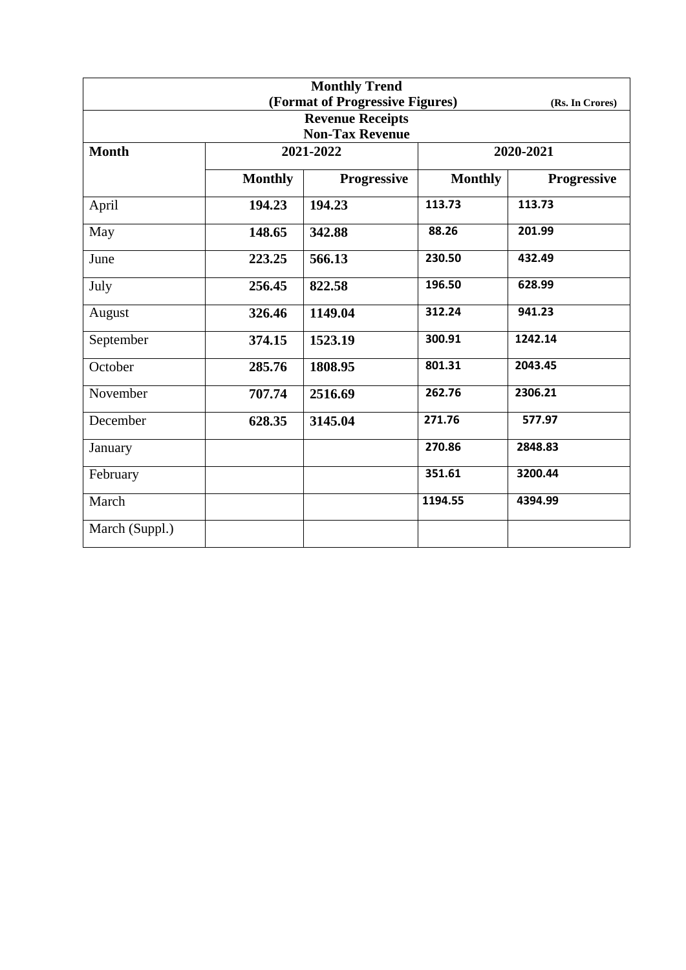| <b>Monthly Trend</b> |                |                                 |                |                    |  |
|----------------------|----------------|---------------------------------|----------------|--------------------|--|
|                      |                | (Format of Progressive Figures) |                | (Rs. In Crores)    |  |
|                      |                | <b>Revenue Receipts</b>         |                |                    |  |
|                      |                | <b>Non-Tax Revenue</b>          |                |                    |  |
| <b>Month</b>         |                | 2021-2022                       |                | 2020-2021          |  |
|                      | <b>Monthly</b> | <b>Progressive</b>              | <b>Monthly</b> | <b>Progressive</b> |  |
| April                | 194.23         | 194.23                          | 113.73         | 113.73             |  |
| May                  | 148.65         | 342.88                          | 88.26          | 201.99             |  |
| June                 | 223.25         | 566.13                          | 230.50         | 432.49             |  |
| July                 | 256.45         | 822.58                          | 196.50         | 628.99             |  |
| August               | 326.46         | 1149.04                         | 312.24         | 941.23             |  |
| September            | 374.15         | 1523.19                         | 300.91         | 1242.14            |  |
| October              | 285.76         | 1808.95                         | 801.31         | 2043.45            |  |
| November             | 707.74         | 2516.69                         | 262.76         | 2306.21            |  |
| December             | 628.35         | 3145.04                         | 271.76         | 577.97             |  |
| January              |                |                                 | 270.86         | 2848.83            |  |
| February             |                |                                 | 351.61         | 3200.44            |  |
| March                |                |                                 | 1194.55        | 4394.99            |  |
| March (Suppl.)       |                |                                 |                |                    |  |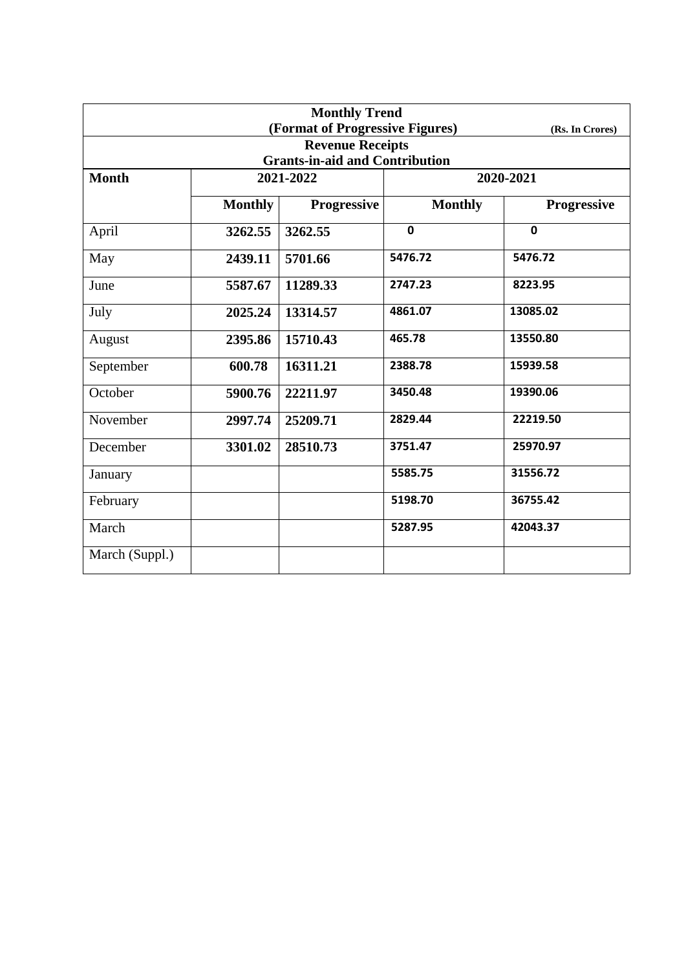| <b>Monthly Trend</b> |                |                                       |                |                    |  |
|----------------------|----------------|---------------------------------------|----------------|--------------------|--|
|                      |                | (Format of Progressive Figures)       |                | (Rs. In Crores)    |  |
|                      |                | <b>Revenue Receipts</b>               |                |                    |  |
|                      |                | <b>Grants-in-aid and Contribution</b> |                |                    |  |
| <b>Month</b>         | 2021-2022      |                                       | 2020-2021      |                    |  |
|                      | <b>Monthly</b> | <b>Progressive</b>                    | <b>Monthly</b> | <b>Progressive</b> |  |
| April                | 3262.55        | 3262.55                               | $\mathbf 0$    | $\mathbf 0$        |  |
| May                  | 2439.11        | 5701.66                               | 5476.72        | 5476.72            |  |
| June                 | 5587.67        | 11289.33                              | 2747.23        | 8223.95            |  |
| July                 | 2025.24        | 13314.57                              | 4861.07        | 13085.02           |  |
| August               | 2395.86        | 15710.43                              | 465.78         | 13550.80           |  |
| September            | 600.78         | 16311.21                              | 2388.78        | 15939.58           |  |
| October              | 5900.76        | 22211.97                              | 3450.48        | 19390.06           |  |
| November             | 2997.74        | 25209.71                              | 2829.44        | 22219.50           |  |
| December             | 3301.02        | 28510.73                              | 3751.47        | 25970.97           |  |
| January              |                |                                       | 5585.75        | 31556.72           |  |
| February             |                |                                       | 5198.70        | 36755.42           |  |
| March                |                |                                       | 5287.95        | 42043.37           |  |
| March (Suppl.)       |                |                                       |                |                    |  |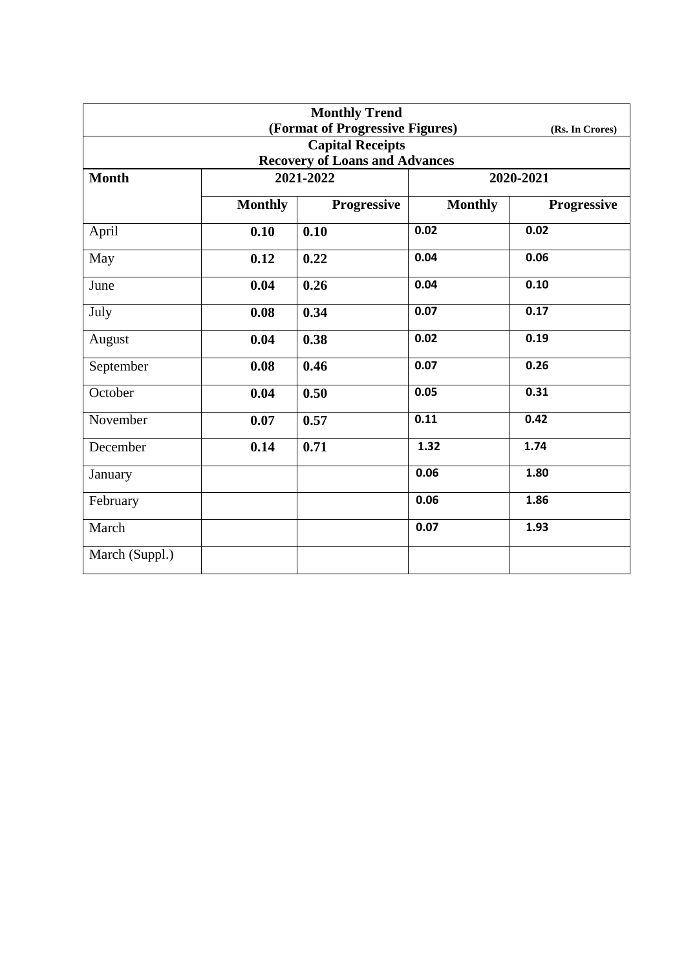| <b>Monthly Trend</b> |                |                                       |                |                    |  |
|----------------------|----------------|---------------------------------------|----------------|--------------------|--|
|                      |                | (Format of Progressive Figures)       |                | (Rs. In Crores)    |  |
|                      |                | <b>Capital Receipts</b>               |                |                    |  |
|                      |                | <b>Recovery of Loans and Advances</b> |                |                    |  |
| <b>Month</b>         | 2021-2022      |                                       | 2020-2021      |                    |  |
|                      | <b>Monthly</b> | <b>Progressive</b>                    | <b>Monthly</b> | <b>Progressive</b> |  |
| April                | 0.10           | 0.10                                  | 0.02           | 0.02               |  |
| May                  | 0.12           | 0.22                                  | 0.04           | 0.06               |  |
| June                 | 0.04           | 0.26                                  | 0.04           | 0.10               |  |
| July                 | 0.08           | 0.34                                  | 0.07           | 0.17               |  |
| August               | 0.04           | 0.38                                  | 0.02           | 0.19               |  |
| September            | 0.08           | 0.46                                  | 0.07           | 0.26               |  |
| October              | 0.04           | 0.50                                  | 0.05           | 0.31               |  |
| November             | 0.07           | 0.57                                  | 0.11           | 0.42               |  |
| December             | 0.14           | 0.71                                  | 1.32           | 1.74               |  |
| January              |                |                                       | 0.06           | 1.80               |  |
| February             |                |                                       | 0.06           | 1.86               |  |
| March                |                |                                       | 0.07           | 1.93               |  |
| March (Suppl.)       |                |                                       |                |                    |  |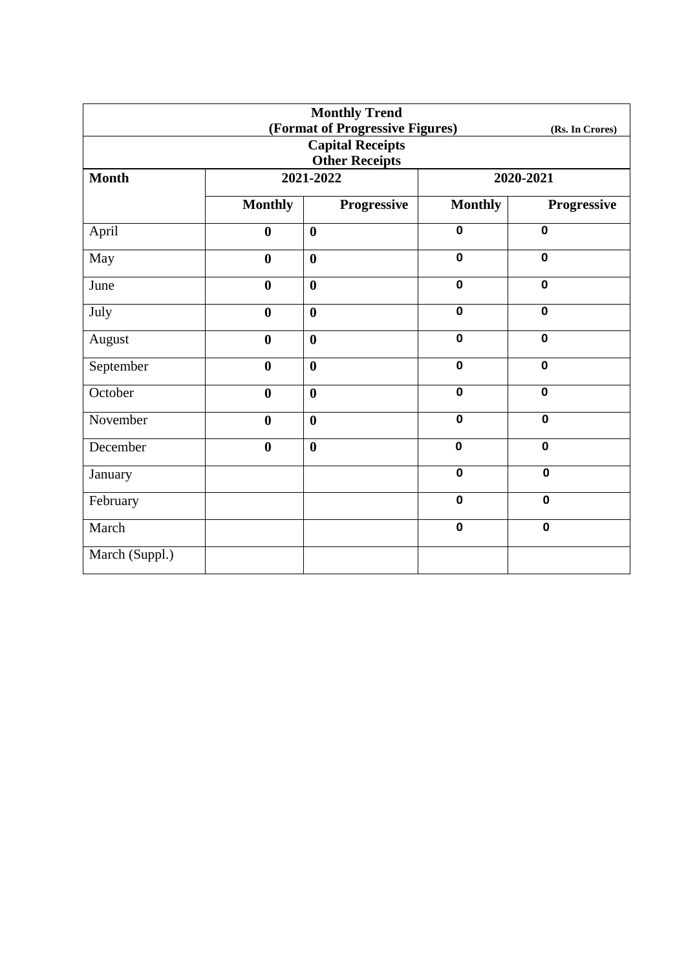| <b>Monthly Trend</b>  |                  |                                 |                |                 |  |  |
|-----------------------|------------------|---------------------------------|----------------|-----------------|--|--|
|                       |                  | (Format of Progressive Figures) |                | (Rs. In Crores) |  |  |
|                       |                  | <b>Capital Receipts</b>         |                |                 |  |  |
| <b>Other Receipts</b> |                  |                                 |                |                 |  |  |
| <b>Month</b>          | 2021-2022        |                                 | 2020-2021      |                 |  |  |
|                       | <b>Monthly</b>   | Progressive                     | <b>Monthly</b> | Progressive     |  |  |
| April                 | $\boldsymbol{0}$ | $\boldsymbol{0}$                | $\mathbf 0$    | $\mathbf 0$     |  |  |
| May                   | $\bf{0}$         | $\boldsymbol{0}$                | $\mathbf 0$    | $\mathbf 0$     |  |  |
| June                  | $\boldsymbol{0}$ | $\boldsymbol{0}$                | $\mathbf 0$    | $\mathbf 0$     |  |  |
| July                  | $\boldsymbol{0}$ | $\boldsymbol{0}$                | $\mathbf 0$    | $\mathbf 0$     |  |  |
| August                | $\boldsymbol{0}$ | $\boldsymbol{0}$                | $\mathbf 0$    | $\mathbf 0$     |  |  |
| September             | $\boldsymbol{0}$ | $\boldsymbol{0}$                | $\mathbf 0$    | $\mathbf 0$     |  |  |
| October               | $\boldsymbol{0}$ | $\boldsymbol{0}$                | $\mathbf 0$    | $\mathbf 0$     |  |  |
| November              | $\boldsymbol{0}$ | $\boldsymbol{0}$                | $\mathbf 0$    | $\mathbf 0$     |  |  |
| December              | $\bf{0}$         | $\boldsymbol{0}$                | $\mathbf 0$    | $\mathbf 0$     |  |  |
| January               |                  |                                 | $\mathbf 0$    | $\mathbf 0$     |  |  |
| February              |                  |                                 | $\mathbf 0$    | $\mathbf 0$     |  |  |
| March                 |                  |                                 | $\mathbf 0$    | $\mathbf 0$     |  |  |
| March (Suppl.)        |                  |                                 |                |                 |  |  |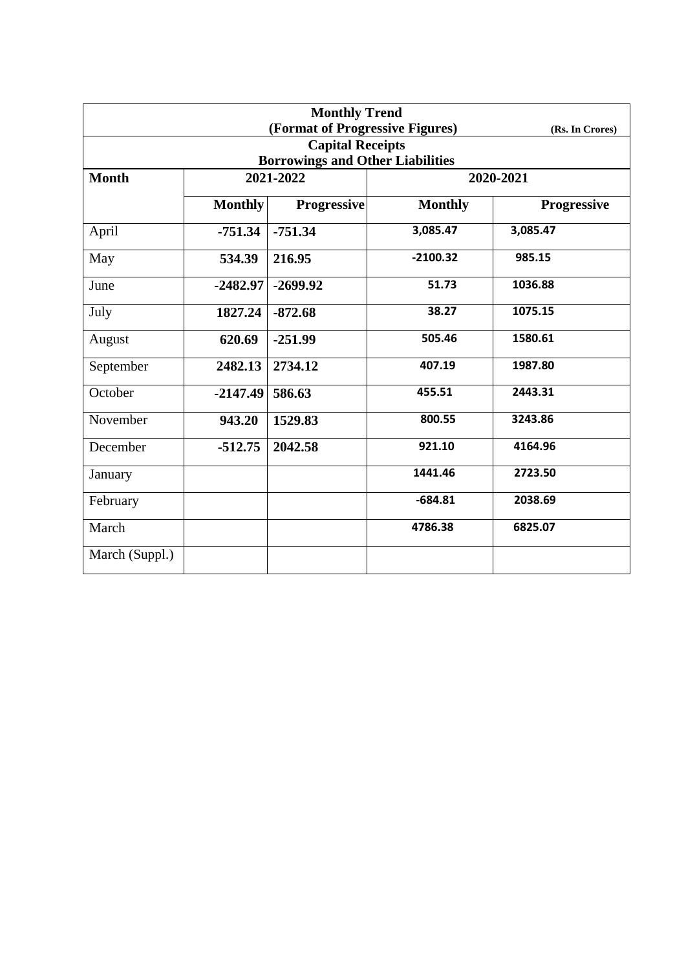| <b>Monthly Trend</b> |                                         |                                 |                |                    |  |  |  |  |
|----------------------|-----------------------------------------|---------------------------------|----------------|--------------------|--|--|--|--|
|                      |                                         | (Format of Progressive Figures) |                | (Rs. In Crores)    |  |  |  |  |
|                      |                                         | <b>Capital Receipts</b>         |                |                    |  |  |  |  |
|                      | <b>Borrowings and Other Liabilities</b> |                                 |                |                    |  |  |  |  |
| <b>Month</b>         |                                         | 2021-2022                       |                | 2020-2021          |  |  |  |  |
|                      | <b>Monthly</b>                          | <b>Progressive</b>              | <b>Monthly</b> | <b>Progressive</b> |  |  |  |  |
| April                | $-751.34$                               | $-751.34$                       | 3,085.47       | 3,085.47           |  |  |  |  |
| May                  | 534.39                                  | 216.95                          | $-2100.32$     | 985.15             |  |  |  |  |
| June                 | $-2482.97$                              | $-2699.92$                      | 51.73          | 1036.88            |  |  |  |  |
| July                 | 1827.24                                 | $-872.68$                       | 38.27          | 1075.15            |  |  |  |  |
| August               | 620.69                                  | $-251.99$                       | 505.46         | 1580.61            |  |  |  |  |
| September            | 2482.13                                 | 2734.12                         | 407.19         | 1987.80            |  |  |  |  |
| October              | $-2147.49$                              | 586.63                          | 455.51         | 2443.31            |  |  |  |  |
| November             | 943.20                                  | 1529.83                         | 800.55         | 3243.86            |  |  |  |  |
| December             | $-512.75$                               | 2042.58                         | 921.10         | 4164.96            |  |  |  |  |
| January              |                                         |                                 | 1441.46        | 2723.50            |  |  |  |  |
| February             |                                         |                                 | $-684.81$      | 2038.69            |  |  |  |  |
| March                |                                         |                                 | 4786.38        | 6825.07            |  |  |  |  |
| March (Suppl.)       |                                         |                                 |                |                    |  |  |  |  |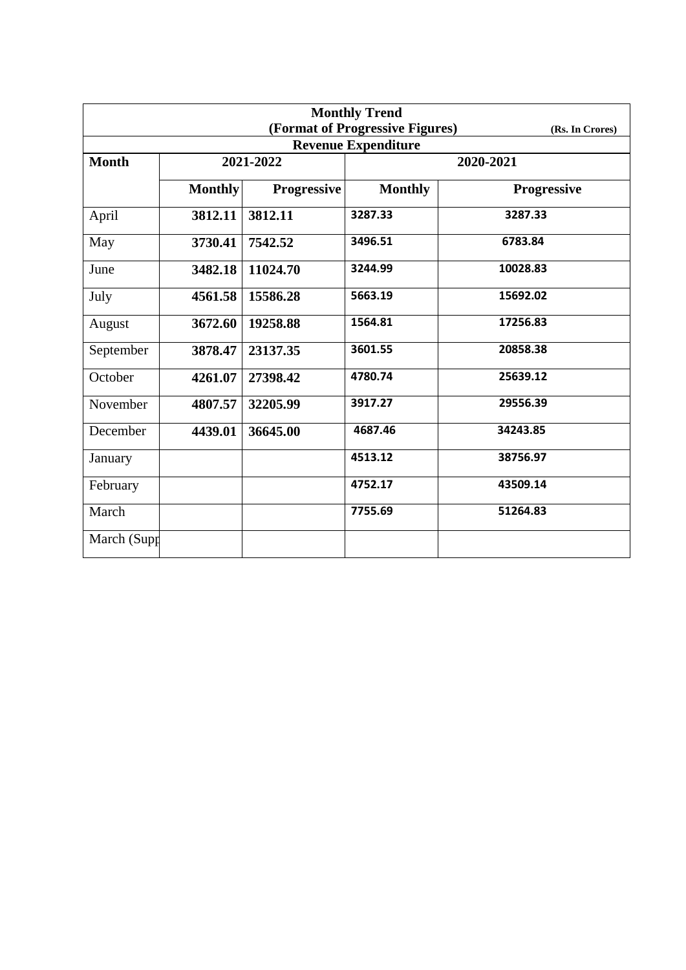| <b>Monthly Trend</b> |                |                    |                                 |                    |  |
|----------------------|----------------|--------------------|---------------------------------|--------------------|--|
|                      |                |                    | (Format of Progressive Figures) | (Rs. In Crores)    |  |
|                      |                |                    | <b>Revenue Expenditure</b>      |                    |  |
| <b>Month</b>         | 2021-2022      |                    |                                 | 2020-2021          |  |
|                      | <b>Monthly</b> | <b>Progressive</b> | <b>Monthly</b>                  | <b>Progressive</b> |  |
| April                | 3812.11        | 3812.11            | 3287.33                         | 3287.33            |  |
| May                  | 3730.41        | 7542.52            | 3496.51                         | 6783.84            |  |
| June                 | 3482.18        | 11024.70           | 3244.99                         | 10028.83           |  |
| July                 | 4561.58        | 15586.28           | 5663.19                         | 15692.02           |  |
| August               | 3672.60        | 19258.88           | 1564.81                         | 17256.83           |  |
| September            | 3878.47        | 23137.35           | 3601.55                         | 20858.38           |  |
| October              | 4261.07        | 27398.42           | 4780.74                         | 25639.12           |  |
| November             | 4807.57        | 32205.99           | 3917.27                         | 29556.39           |  |
| December             | 4439.01        | 36645.00           | 4687.46                         | 34243.85           |  |
| January              |                |                    | 4513.12                         | 38756.97           |  |
| February             |                |                    | 4752.17                         | 43509.14           |  |
| March                |                |                    | 7755.69                         | 51264.83           |  |
| March (Supp          |                |                    |                                 |                    |  |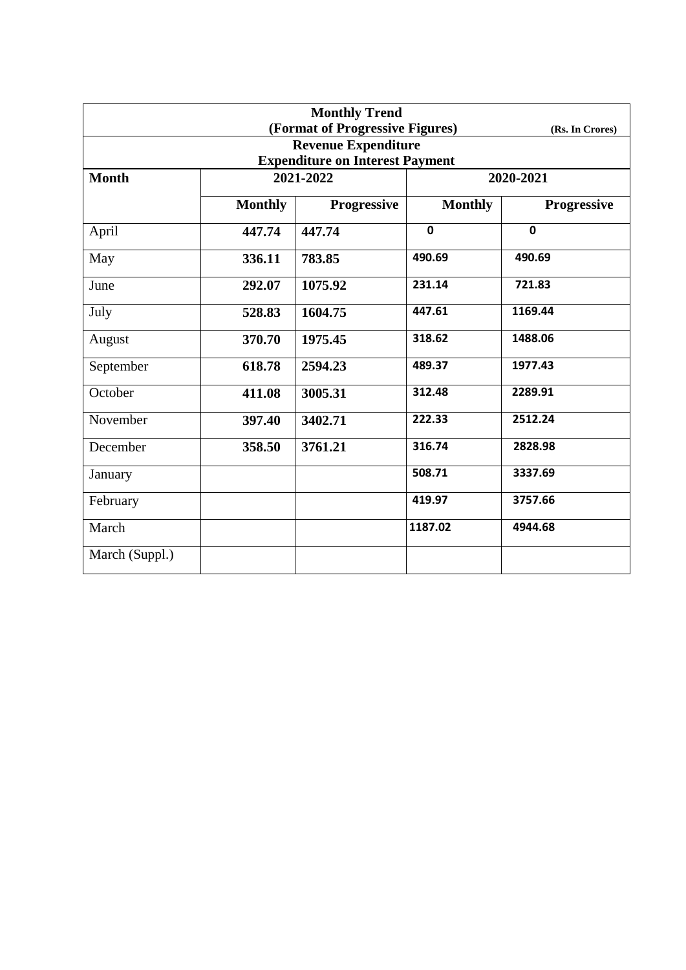| <b>Monthly Trend</b>                   |                |                                 |                |                    |  |
|----------------------------------------|----------------|---------------------------------|----------------|--------------------|--|
|                                        |                | (Format of Progressive Figures) |                | (Rs. In Crores)    |  |
|                                        |                | <b>Revenue Expenditure</b>      |                |                    |  |
| <b>Expenditure on Interest Payment</b> |                |                                 |                |                    |  |
| <b>Month</b>                           |                | 2021-2022                       | 2020-2021      |                    |  |
|                                        | <b>Monthly</b> | <b>Progressive</b>              | <b>Monthly</b> | <b>Progressive</b> |  |
| April                                  | 447.74         | 447.74                          | $\mathbf 0$    | $\mathbf 0$        |  |
| May                                    | 336.11         | 783.85                          | 490.69         | 490.69             |  |
| June                                   | 292.07         | 1075.92                         | 231.14         | 721.83             |  |
| July                                   | 528.83         | 1604.75                         | 447.61         | 1169.44            |  |
| August                                 | 370.70         | 1975.45                         | 318.62         | 1488.06            |  |
| September                              | 618.78         | 2594.23                         | 489.37         | 1977.43            |  |
| October                                | 411.08         | 3005.31                         | 312.48         | 2289.91            |  |
| November                               | 397.40         | 3402.71                         | 222.33         | 2512.24            |  |
| December                               | 358.50         | 3761.21                         | 316.74         | 2828.98            |  |
| January                                |                |                                 | 508.71         | 3337.69            |  |
| February                               |                |                                 | 419.97         | 3757.66            |  |
| March                                  |                |                                 | 1187.02        | 4944.68            |  |
| March (Suppl.)                         |                |                                 |                |                    |  |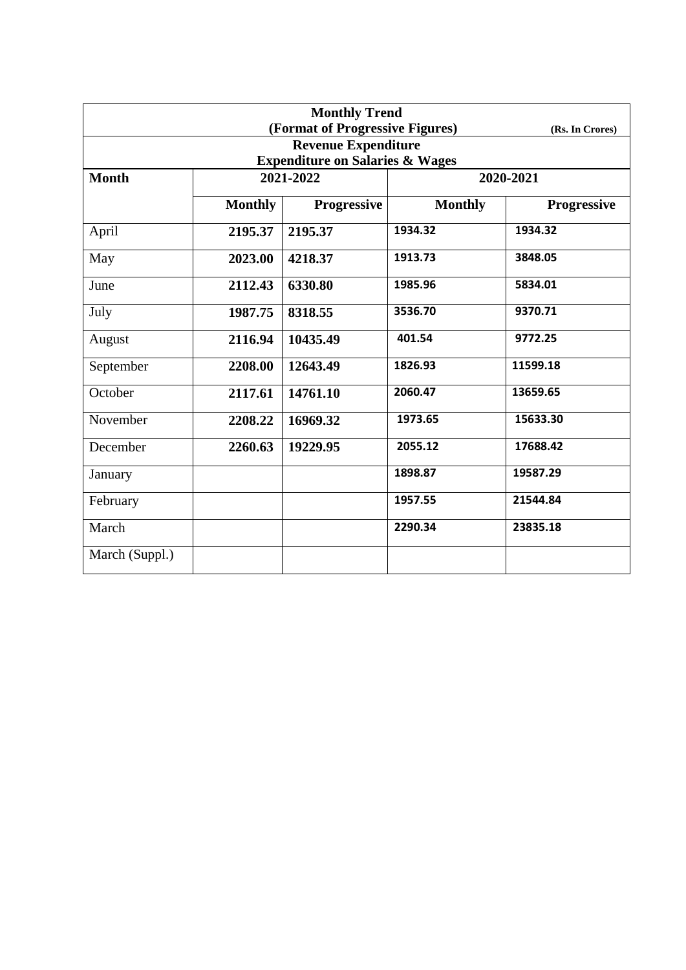| <b>Monthly Trend</b> |                |                                            |                |                    |  |
|----------------------|----------------|--------------------------------------------|----------------|--------------------|--|
|                      |                | (Format of Progressive Figures)            |                | (Rs. In Crores)    |  |
|                      |                | <b>Revenue Expenditure</b>                 |                |                    |  |
|                      |                | <b>Expenditure on Salaries &amp; Wages</b> |                |                    |  |
| <b>Month</b>         |                | 2021-2022                                  | 2020-2021      |                    |  |
|                      | <b>Monthly</b> | <b>Progressive</b>                         | <b>Monthly</b> | <b>Progressive</b> |  |
| April                | 2195.37        | 2195.37                                    | 1934.32        | 1934.32            |  |
| May                  | 2023.00        | 4218.37                                    | 1913.73        | 3848.05            |  |
| June                 | 2112.43        | 6330.80                                    | 1985.96        | 5834.01            |  |
| July                 | 1987.75        | 8318.55                                    | 3536.70        | 9370.71            |  |
| August               | 2116.94        | 10435.49                                   | 401.54         | 9772.25            |  |
| September            | 2208.00        | 12643.49                                   | 1826.93        | 11599.18           |  |
| October              | 2117.61        | 14761.10                                   | 2060.47        | 13659.65           |  |
| November             | 2208.22        | 16969.32                                   | 1973.65        | 15633.30           |  |
| December             | 2260.63        | 19229.95                                   | 2055.12        | 17688.42           |  |
| January              |                |                                            | 1898.87        | 19587.29           |  |
| February             |                |                                            | 1957.55        | 21544.84           |  |
| March                |                |                                            | 2290.34        | 23835.18           |  |
| March (Suppl.)       |                |                                            |                |                    |  |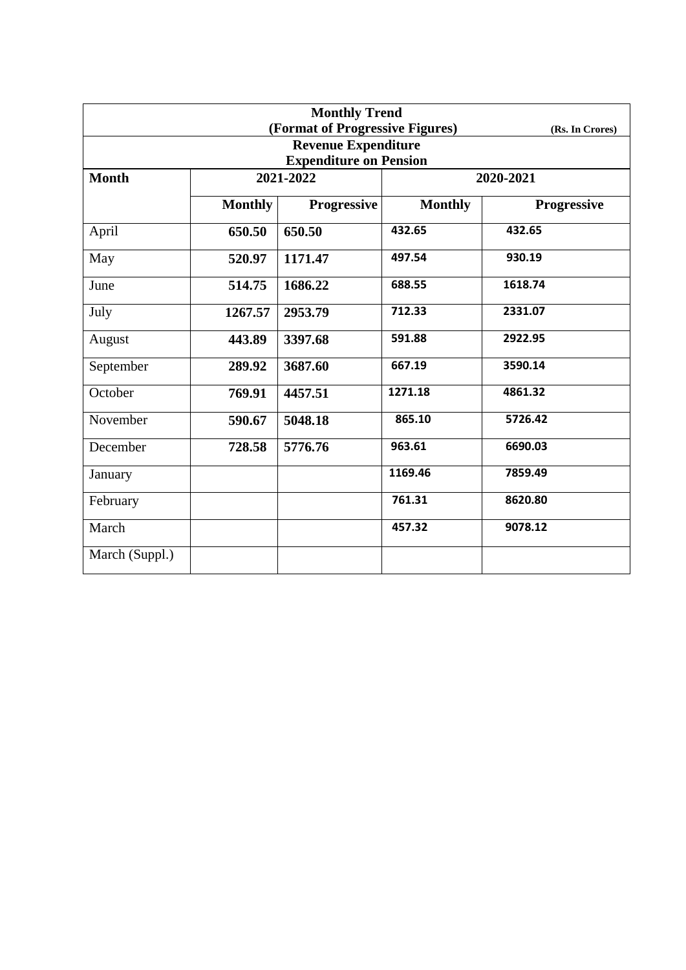| <b>Monthly Trend</b> |                |                                 |                |                    |  |  |
|----------------------|----------------|---------------------------------|----------------|--------------------|--|--|
|                      |                | (Format of Progressive Figures) |                | (Rs. In Crores)    |  |  |
|                      |                | <b>Revenue Expenditure</b>      |                |                    |  |  |
|                      |                | <b>Expenditure on Pension</b>   |                |                    |  |  |
| <b>Month</b>         | 2021-2022      |                                 |                | 2020-2021          |  |  |
|                      | <b>Monthly</b> | <b>Progressive</b>              | <b>Monthly</b> | <b>Progressive</b> |  |  |
| April                | 650.50         | 650.50                          | 432.65         | 432.65             |  |  |
| May                  | 520.97         | 1171.47                         | 497.54         | 930.19             |  |  |
| June                 | 514.75         | 1686.22                         | 688.55         | 1618.74            |  |  |
| July                 | 1267.57        | 2953.79                         | 712.33         | 2331.07            |  |  |
| August               | 443.89         | 3397.68                         | 591.88         | 2922.95            |  |  |
| September            | 289.92         | 3687.60                         | 667.19         | 3590.14            |  |  |
| October              | 769.91         | 4457.51                         | 1271.18        | 4861.32            |  |  |
| November             | 590.67         | 5048.18                         | 865.10         | 5726.42            |  |  |
| December             | 728.58         | 5776.76                         | 963.61         | 6690.03            |  |  |
| January              |                |                                 | 1169.46        | 7859.49            |  |  |
| February             |                |                                 | 761.31         | 8620.80            |  |  |
| March                |                |                                 | 457.32         | 9078.12            |  |  |
| March (Suppl.)       |                |                                 |                |                    |  |  |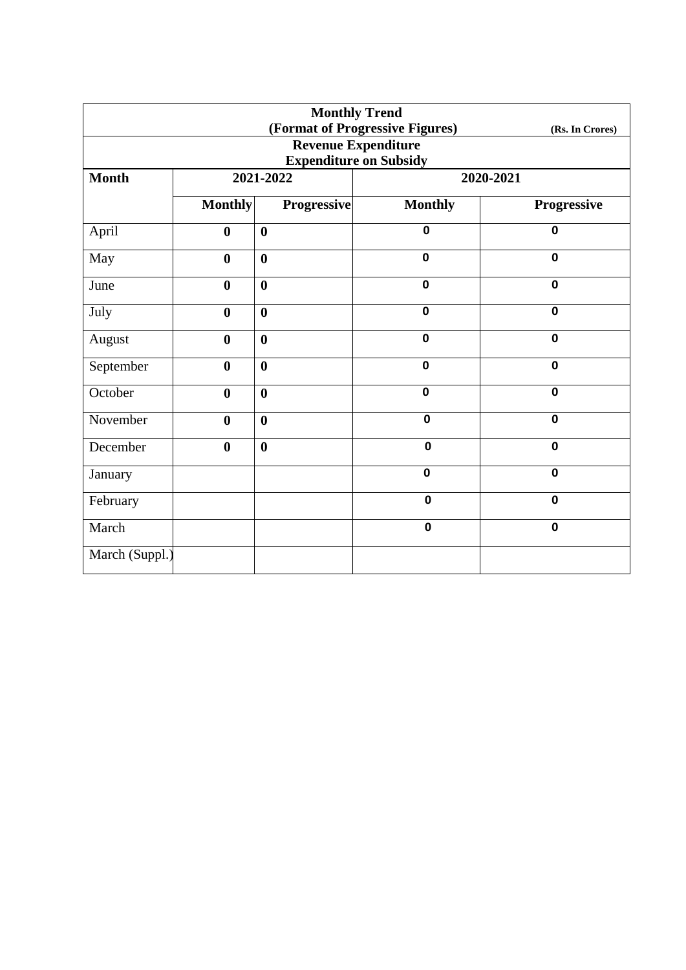| <b>Monthly Trend</b> |                  |                    |                                 |                 |  |
|----------------------|------------------|--------------------|---------------------------------|-----------------|--|
|                      |                  |                    | (Format of Progressive Figures) | (Rs. In Crores) |  |
|                      |                  |                    | <b>Revenue Expenditure</b>      |                 |  |
|                      |                  |                    | <b>Expenditure on Subsidy</b>   |                 |  |
| <b>Month</b>         | 2021-2022        |                    | 2020-2021                       |                 |  |
|                      | <b>Monthly</b>   | <b>Progressive</b> | <b>Monthly</b>                  | Progressive     |  |
| April                | $\boldsymbol{0}$ | $\boldsymbol{0}$   | $\mathbf 0$                     | $\mathbf 0$     |  |
| May                  | $\bf{0}$         | $\boldsymbol{0}$   | $\mathbf 0$                     | $\mathbf 0$     |  |
| June                 | $\bf{0}$         | $\boldsymbol{0}$   | $\mathbf 0$                     | $\mathbf 0$     |  |
| July                 | $\boldsymbol{0}$ | $\boldsymbol{0}$   | $\mathbf 0$                     | $\mathbf 0$     |  |
| August               | $\bf{0}$         | $\boldsymbol{0}$   | $\mathbf 0$                     | $\mathbf 0$     |  |
| September            | $\boldsymbol{0}$ | $\bf{0}$           | $\mathbf 0$                     | $\mathbf 0$     |  |
| October              | $\boldsymbol{0}$ | $\boldsymbol{0}$   | $\mathbf 0$                     | $\mathbf 0$     |  |
| November             | $\boldsymbol{0}$ | $\boldsymbol{0}$   | $\mathbf 0$                     | $\mathbf 0$     |  |
| December             | $\bf{0}$         | $\boldsymbol{0}$   | $\mathbf 0$                     | $\mathbf 0$     |  |
| January              |                  |                    | $\mathbf 0$                     | $\mathbf 0$     |  |
| February             |                  |                    | $\mathbf 0$                     | $\mathbf 0$     |  |
| March                |                  |                    | $\mathbf 0$                     | $\mathbf 0$     |  |
| March (Suppl.)       |                  |                    |                                 |                 |  |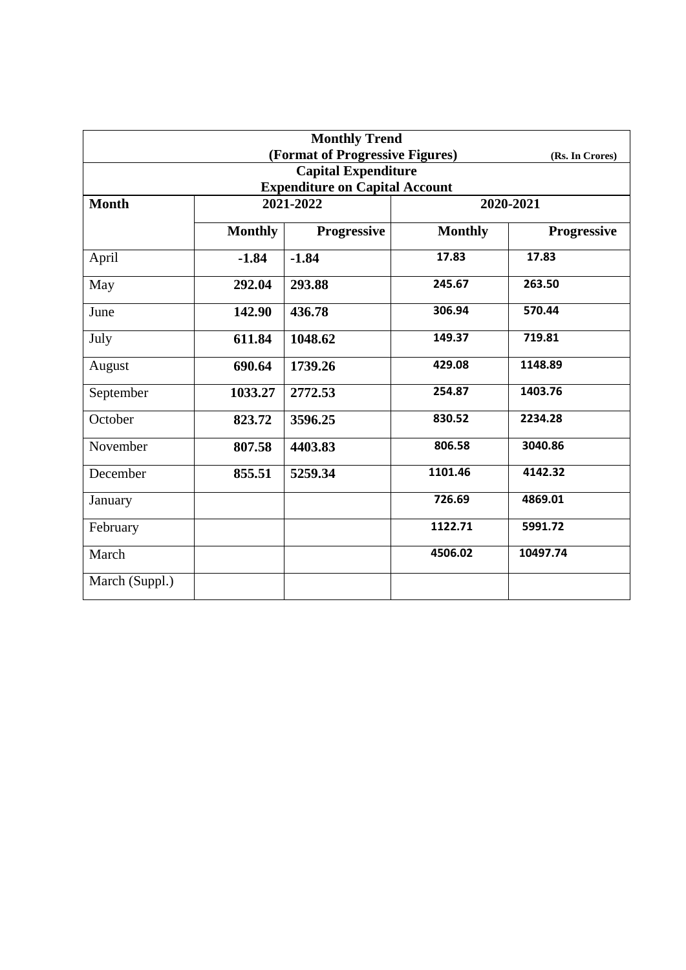|                                       |                 | <b>Monthly Trend</b><br>(Format of Progressive Figures) |                |             |  |  |
|---------------------------------------|-----------------|---------------------------------------------------------|----------------|-------------|--|--|
|                                       | (Rs. In Crores) |                                                         |                |             |  |  |
|                                       |                 | <b>Capital Expenditure</b>                              |                |             |  |  |
| <b>Expenditure on Capital Account</b> |                 |                                                         |                |             |  |  |
| <b>Month</b>                          | 2021-2022       |                                                         | 2020-2021      |             |  |  |
|                                       | <b>Monthly</b>  | <b>Progressive</b>                                      | <b>Monthly</b> | Progressive |  |  |
| April                                 | $-1.84$         | $-1.84$                                                 | 17.83          | 17.83       |  |  |
| May                                   | 292.04          | 293.88                                                  | 245.67         | 263.50      |  |  |
| June                                  | 142.90          | 436.78                                                  | 306.94         | 570.44      |  |  |
| July                                  | 611.84          | 1048.62                                                 | 149.37         | 719.81      |  |  |
| August                                | 690.64          | 1739.26                                                 | 429.08         | 1148.89     |  |  |
| September                             | 1033.27         | 2772.53                                                 | 254.87         | 1403.76     |  |  |
| October                               | 823.72          | 3596.25                                                 | 830.52         | 2234.28     |  |  |
| November                              | 807.58          | 4403.83                                                 | 806.58         | 3040.86     |  |  |
| December                              | 855.51          | 5259.34                                                 | 1101.46        | 4142.32     |  |  |
| January                               |                 |                                                         | 726.69         | 4869.01     |  |  |
| February                              |                 |                                                         | 1122.71        | 5991.72     |  |  |
| March                                 |                 |                                                         | 4506.02        | 10497.74    |  |  |
| March (Suppl.)                        |                 |                                                         |                |             |  |  |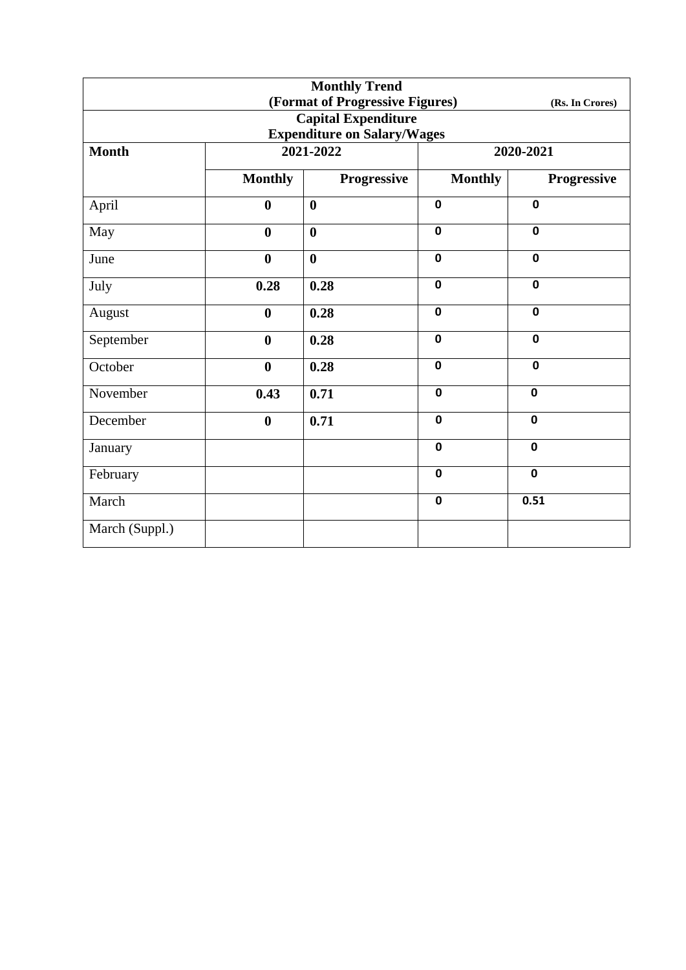|                                                    |                  | <b>Monthly Trend</b> |                |                    |  |  |
|----------------------------------------------------|------------------|----------------------|----------------|--------------------|--|--|
| (Format of Progressive Figures)<br>(Rs. In Crores) |                  |                      |                |                    |  |  |
| <b>Capital Expenditure</b>                         |                  |                      |                |                    |  |  |
| <b>Expenditure on Salary/Wages</b>                 |                  |                      |                |                    |  |  |
| <b>Month</b>                                       |                  | 2021-2022            | 2020-2021      |                    |  |  |
|                                                    | <b>Monthly</b>   | Progressive          | <b>Monthly</b> | <b>Progressive</b> |  |  |
| April                                              | $\boldsymbol{0}$ | $\boldsymbol{0}$     | $\pmb{0}$      | $\mathbf 0$        |  |  |
| May                                                | $\bf{0}$         | $\boldsymbol{0}$     | $\mathbf 0$    | $\mathbf 0$        |  |  |
| June                                               | $\bf{0}$         | $\bf{0}$             | $\mathbf 0$    | $\mathbf 0$        |  |  |
| July                                               | 0.28             | 0.28                 | $\mathbf 0$    | $\mathbf 0$        |  |  |
| August                                             | $\bf{0}$         | 0.28                 | $\mathbf 0$    | $\mathbf 0$        |  |  |
| September                                          | $\boldsymbol{0}$ | 0.28                 | $\mathbf 0$    | $\mathbf 0$        |  |  |
| October                                            | $\boldsymbol{0}$ | 0.28                 | $\mathbf 0$    | $\mathbf 0$        |  |  |
| November                                           | 0.43             | 0.71                 | $\mathbf 0$    | $\mathbf 0$        |  |  |
| December                                           | $\bf{0}$         | 0.71                 | $\mathbf 0$    | $\mathbf 0$        |  |  |
| January                                            |                  |                      | $\mathbf 0$    | $\mathbf 0$        |  |  |
| February                                           |                  |                      | $\mathbf 0$    | $\mathbf 0$        |  |  |
| March                                              |                  |                      | $\mathbf 0$    | 0.51               |  |  |
| March (Suppl.)                                     |                  |                      |                |                    |  |  |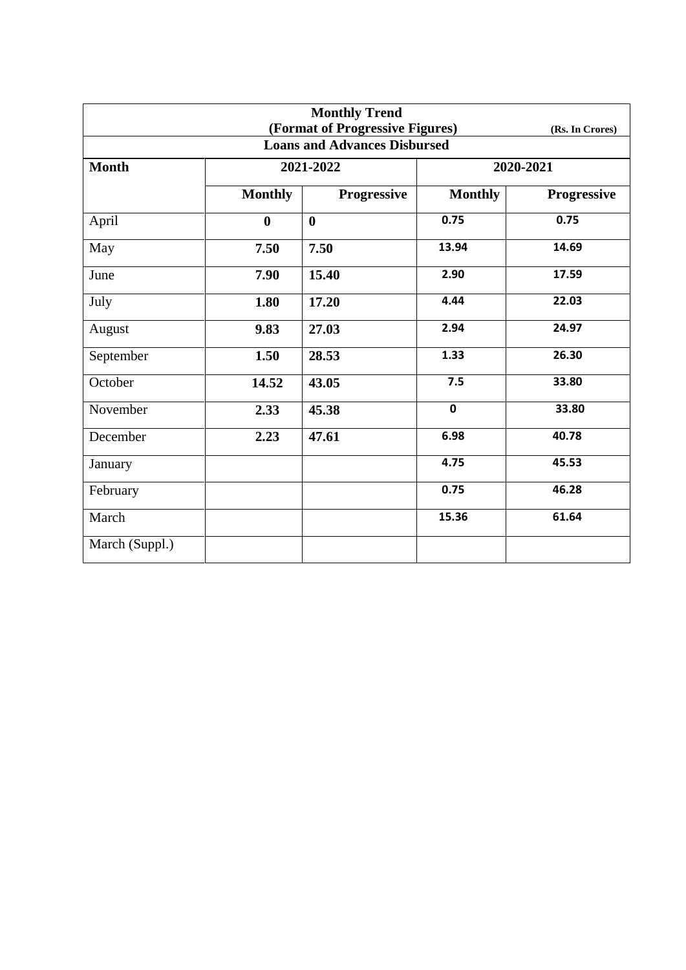|                                     |                | <b>Monthly Trend</b><br>(Format of Progressive Figures) |                | (Rs. In Crores) |  |  |
|-------------------------------------|----------------|---------------------------------------------------------|----------------|-----------------|--|--|
| <b>Loans and Advances Disbursed</b> |                |                                                         |                |                 |  |  |
| <b>Month</b>                        |                | 2021-2022                                               | 2020-2021      |                 |  |  |
|                                     | <b>Monthly</b> | <b>Progressive</b>                                      | <b>Monthly</b> | Progressive     |  |  |
| April                               | $\bf{0}$       | $\boldsymbol{0}$                                        | 0.75           | 0.75            |  |  |
| May                                 | 7.50           | 7.50                                                    | 13.94          | 14.69           |  |  |
| June                                | 7.90           | 15.40                                                   | 2.90           | 17.59           |  |  |
| July                                | 1.80           | 17.20                                                   | 4.44           | 22.03           |  |  |
| August                              | 9.83           | 27.03                                                   | 2.94           | 24.97           |  |  |
| September                           | 1.50           | 28.53                                                   | 1.33           | 26.30           |  |  |
| October                             | 14.52          | 43.05                                                   | 7.5            | 33.80           |  |  |
| November                            | 2.33           | 45.38                                                   | $\mathbf 0$    | 33.80           |  |  |
| December                            | 2.23           | 47.61                                                   | 6.98           | 40.78           |  |  |
| January                             |                |                                                         | 4.75           | 45.53           |  |  |
| February                            |                |                                                         | 0.75           | 46.28           |  |  |
| March                               |                |                                                         | 15.36          | 61.64           |  |  |
| March (Suppl.)                      |                |                                                         |                |                 |  |  |